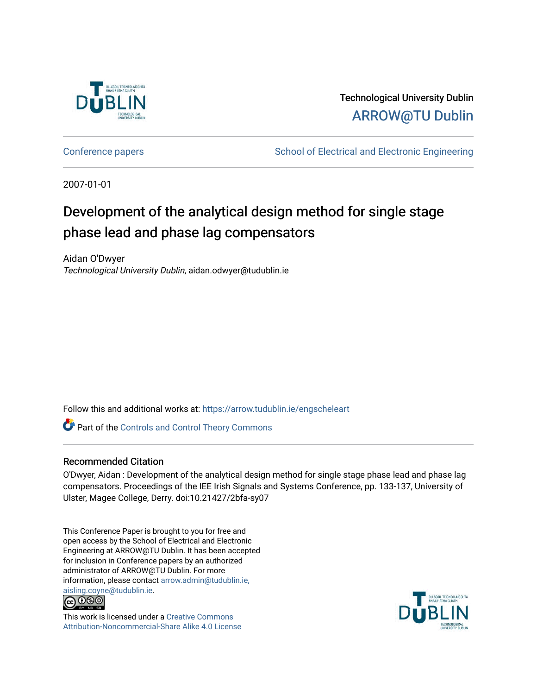

Technological University Dublin [ARROW@TU Dublin](https://arrow.tudublin.ie/) 

[Conference papers](https://arrow.tudublin.ie/engscheleart) **School of Electrical and Electronic Engineering** 

2007-01-01

# Development of the analytical design method for single stage phase lead and phase lag compensators

Aidan O'Dwyer Technological University Dublin, aidan.odwyer@tudublin.ie

Follow this and additional works at: [https://arrow.tudublin.ie/engscheleart](https://arrow.tudublin.ie/engscheleart?utm_source=arrow.tudublin.ie%2Fengscheleart%2F12&utm_medium=PDF&utm_campaign=PDFCoverPages) 

**Part of the Controls and Control Theory Commons** 

# Recommended Citation

O'Dwyer, Aidan : Development of the analytical design method for single stage phase lead and phase lag compensators. Proceedings of the IEE Irish Signals and Systems Conference, pp. 133-137, University of Ulster, Magee College, Derry. doi:10.21427/2bfa-sy07

This Conference Paper is brought to you for free and open access by the School of Electrical and Electronic Engineering at ARROW@TU Dublin. It has been accepted for inclusion in Conference papers by an authorized administrator of ARROW@TU Dublin. For more information, please contact [arrow.admin@tudublin.ie,](mailto:arrow.admin@tudublin.ie,%20aisling.coyne@tudublin.ie)  [aisling.coyne@tudublin.ie.](mailto:arrow.admin@tudublin.ie,%20aisling.coyne@tudublin.ie)<br>© 090



This work is licensed under a [Creative Commons](http://creativecommons.org/licenses/by-nc-sa/4.0/) [Attribution-Noncommercial-Share Alike 4.0 License](http://creativecommons.org/licenses/by-nc-sa/4.0/)

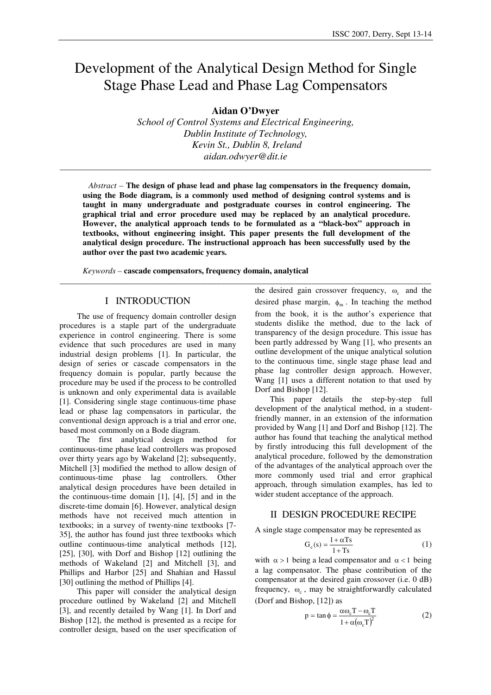# Development of the Analytical Design Method for Single Stage Phase Lead and Phase Lag Compensators

**Aidan O'Dwyer** 

*School of Control Systems and Electrical Engineering, Dublin Institute of Technology, Kevin St., Dublin 8, Ireland aidan.odwyer@dit.ie*

\_\_\_\_\_\_\_\_\_\_\_\_\_\_\_\_\_\_\_\_\_\_\_\_\_\_\_\_\_\_\_\_\_\_\_\_\_\_\_\_\_\_\_\_\_\_\_\_\_\_\_\_\_\_\_\_\_\_\_\_\_\_\_\_\_\_\_\_\_\_\_\_\_\_\_\_\_\_\_\_\_\_\_\_\_\_\_\_\_\_

*Abstract –* **The design of phase lead and phase lag compensators in the frequency domain, using the Bode diagram, is a commonly used method of designing control systems and is taught in many undergraduate and postgraduate courses in control engineering. The graphical trial and error procedure used may be replaced by an analytical procedure. However, the analytical approach tends to be formulated as a "black-box" approach in textbooks, without engineering insight. This paper presents the full development of the analytical design procedure. The instructional approach has been successfully used by the author over the past two academic years.** 

**\_\_\_\_\_\_\_\_\_\_\_\_\_\_\_\_\_\_\_\_\_\_\_\_\_\_\_\_\_\_\_\_\_\_\_\_\_\_\_\_\_\_\_\_\_\_\_\_\_\_\_\_\_\_\_\_\_\_\_\_\_\_\_\_\_\_\_\_\_\_\_\_\_\_\_\_\_\_\_\_\_\_\_\_\_\_\_\_\_\_**

*Keywords –* **cascade compensators, frequency domain, analytical**

#### I INTRODUCTION

The use of frequency domain controller design procedures is a staple part of the undergraduate experience in control engineering. There is some evidence that such procedures are used in many industrial design problems [1]. In particular, the design of series or cascade compensators in the frequency domain is popular, partly because the procedure may be used if the process to be controlled is unknown and only experimental data is available [1]. Considering single stage continuous-time phase lead or phase lag compensators in particular, the conventional design approach is a trial and error one, based most commonly on a Bode diagram.

The first analytical design method for continuous-time phase lead controllers was proposed over thirty years ago by Wakeland [2]; subsequently, Mitchell [3] modified the method to allow design of continuous-time phase lag controllers. Other analytical design procedures have been detailed in the continuous-time domain [1], [4], [5] and in the discrete-time domain [6]. However, analytical design methods have not received much attention in textbooks; in a survey of twenty-nine textbooks [7- 35], the author has found just three textbooks which outline continuous-time analytical methods [12], [25], [30], with Dorf and Bishop [12] outlining the methods of Wakeland [2] and Mitchell [3], and Phillips and Harbor [25] and Shahian and Hassul [30] outlining the method of Phillips [4].

This paper will consider the analytical design procedure outlined by Wakeland [2] and Mitchell [3], and recently detailed by Wang [1]. In Dorf and Bishop [12], the method is presented as a recipe for controller design, based on the user specification of

the desired gain crossover frequency,  $\omega_c$  and the desired phase margin,  $\phi_m$ . In teaching the method from the book, it is the author's experience that students dislike the method, due to the lack of transparency of the design procedure. This issue has been partly addressed by Wang [1], who presents an outline development of the unique analytical solution to the continuous time, single stage phase lead and phase lag controller design approach. However, Wang [1] uses a different notation to that used by Dorf and Bishop [12].

 This paper details the step-by-step full development of the analytical method, in a studentfriendly manner, in an extension of the information provided by Wang [1] and Dorf and Bishop [12]. The author has found that teaching the analytical method by firstly introducing this full development of the analytical procedure, followed by the demonstration of the advantages of the analytical approach over the more commonly used trial and error graphical approach, through simulation examples, has led to wider student acceptance of the approach.

#### II DESIGN PROCEDURE RECIPE

A single stage compensator may be represented as

$$
G_c(s) = \frac{1 + \alpha T s}{1 + T s} \tag{1}
$$

with  $\alpha > 1$  being a lead compensator and  $\alpha < 1$  being a lag compensator. The phase contribution of the compensator at the desired gain crossover (i.e. 0 dB) frequency,  $\omega_c$ , may be straightforwardly calculated (Dorf and Bishop, [12]) as

$$
p = \tan \phi = \frac{\alpha \omega_c T - \omega_c T}{1 + \alpha (\omega_c T)^2}
$$
 (2)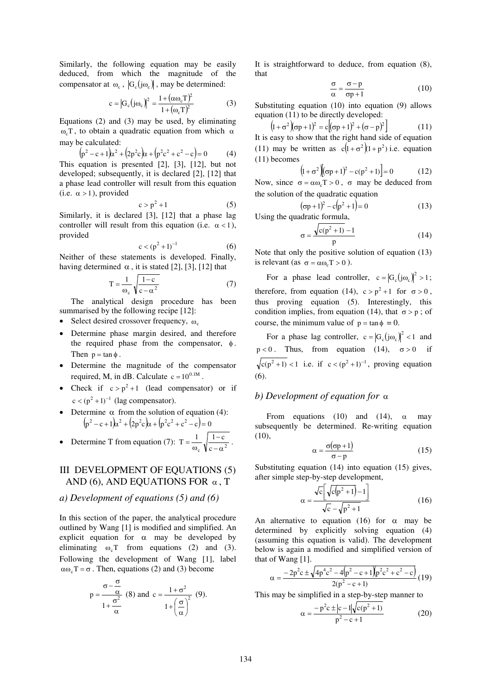Similarly, the following equation may be easily deduced, from which the magnitude of the compensator at  $\omega_c$ ,  $|G_c(j\omega_c)|$ , may be determined:

$$
c = |G_c(j\omega_c)|^2 = \frac{1 + (\alpha\omega_c T)^2}{1 + (\omega_c T)^2}
$$
(3)

Equations (2) and (3) may be used, by eliminating ω<sub>c</sub>T, to obtain a quadratic equation from which  $\alpha$ may be calculated:

$$
(p2 - c + 1)x2 + (2p2c)x + (p2c2 + c2 - c) = 0
$$
 (4)

This equation is presented [2], [3], [12], but not developed; subsequently, it is declared [2], [12] that a phase lead controller will result from this equation (i.e.  $\alpha > 1$ ), provided

$$
c > p^2 + 1 \tag{5}
$$

Similarly, it is declared [3], [12] that a phase lag controller will result from this equation (i.e.  $\alpha$  < 1), provided

$$
c < (p^2 + 1)^{-1}
$$
 (6)

Neither of these statements is developed. Finally, having determined  $\alpha$ , it is stated [2], [3], [12] that

$$
T = \frac{1}{\omega_c} \sqrt{\frac{1 - c}{c - \alpha^2}}
$$
 (7)

The analytical design procedure has been summarised by the following recipe [12]:

- Select desired crossover frequency,  $\omega_c$
- Determine phase margin desired, and therefore the required phase from the compensator,  $\phi$ . Then  $p = \tan \phi$ .
- Determine the magnitude of the compensator required, M, in dB. Calculate  $c = 10^{0.1M}$ .
- Check if  $c > p^2 + 1$  (lead compensator) or if  $c < (p^2 + 1)^{-1}$  (lag compensator).
- Determine  $\alpha$  from the solution of equation (4):  $(p^2 - c + 1)\alpha^2 + (2p^2c)\alpha + (p^2c^2 + c^2 - c) = 0$
- Determine T from equation (7):  $T = \frac{1}{\omega_c} \sqrt{\frac{1 C}{c \alpha^2}}$  $T = \frac{1}{\omega_c} \sqrt{\frac{1 - c}{c - \alpha}}$ −  $=\frac{1}{\omega_c}\sqrt{\frac{1-c}{c-\alpha^2}}$ .

# III DEVELOPMENT OF EQUATIONS (5) AND (6), AND EQUATIONS FOR  $\alpha$ , T

#### *a) Development of equations (5) and (6)*

In this section of the paper, the analytical procedure outlined by Wang [1] is modified and simplified. An explicit equation for  $\alpha$  may be developed by eliminating  $\omega_c T$  from equations (2) and (3). Following the development of Wang [1], label  $\alpha\omega_c$  T =  $\sigma$ . Then, equations (2) and (3) become

$$
p = \frac{\sigma - \frac{\sigma}{\alpha}}{1 + \frac{\sigma^2}{\alpha}} \quad (8) \text{ and } c = \frac{1 + \sigma^2}{1 + \left(\frac{\sigma}{\alpha}\right)^2} \quad (9).
$$

It is straightforward to deduce, from equation (8), that

$$
\frac{\sigma}{\alpha} = \frac{\sigma - p}{\sigma p + 1} \tag{10}
$$

Substituting equation (10) into equation (9) allows equation (11) to be directly developed:

$$
(1 + \sigma^2)(\sigma p + 1)^2 = c[(\sigma p + 1)^2 + (\sigma - p)^2]
$$
 (11)

It is easy to show that the right hand side of equation (11) may be written as  $c(1 + \sigma^2)(1 + p^2)$  i.e. equation (11) becomes

$$
(1+\sigma^2)(\sigma p+1)^2 - c(p^2+1) = 0 \qquad (12)
$$

Now, since  $\sigma = \alpha \omega_c T > 0$ ,  $\sigma$  may be deduced from the solution of the quadratic equation

$$
(\sigma p + 1)^2 - c(p^2 + 1) = 0 \tag{13}
$$

Using the quadratic formula,

$$
\sigma = \frac{\sqrt{c(p^2 + 1) - 1}}{p}
$$
 (14)

Note that only the positive solution of equation (13) is relevant (as  $\sigma = \alpha \omega T > 0$ ).

For a phase lead controller,  $c = |G_c(j\omega_c)|^2 > 1$ ; therefore, from equation (14),  $c > p^2 + 1$  for  $\sigma > 0$ , thus proving equation (5). Interestingly, this condition implies, from equation (14), that  $\sigma > p$ ; of course, the minimum value of  $p = \tan \phi = 0$ .

For a phase lag controller,  $c = |G_c(j\omega_c)|^2 < 1$  and  $p < 0$ . Thus, from equation (14),  $\sigma > 0$  if  $c(p^2 + 1) < 1$  i.e. if  $c < (p^2 + 1)^{-1}$ , proving equation (6).

#### *b) Development of equation for* α

From equations (10) and (14),  $\alpha$  may subsequently be determined. Re-writing equation  $(10)$ ,

$$
\alpha = \frac{\sigma(\sigma p + 1)}{\sigma - p} \tag{15}
$$

Substituting equation (14) into equation (15) gives, after simple step-by-step development,

$$
\alpha = \frac{\sqrt{c} \left[ \sqrt{c(p^2 + 1)} - 1 \right]}{\sqrt{c} - \sqrt{p^2 + 1}}
$$
(16)

An alternative to equation (16) for  $\alpha$  may be determined by explicitly solving equation (4) (assuming this equation is valid). The development below is again a modified and simplified version of that of Wang [1].

$$
\alpha=\frac{-2p^2c\pm\sqrt{4p^4c^2-4\left(p^2-c+1\right)\left(p^2c^2+c^2-c\right)}}{2(p^2-c+1)}\,(19)
$$

This may be simplified in a step-by-step manner to

$$
\alpha = \frac{-p^2 c \pm |c - 1| \sqrt{c(p^2 + 1)}}{p^2 - c + 1} \tag{20}
$$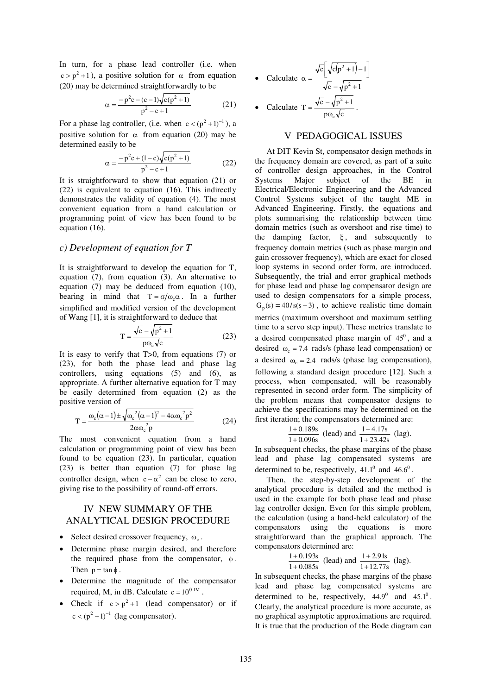In turn, for a phase lead controller (i.e. when  $c > p<sup>2</sup> + 1$ , a positive solution for  $\alpha$  from equation (20) may be determined straightforwardly to be

$$
\alpha = \frac{-p^2 c - (c - 1)\sqrt{c(p^2 + 1)}}{p^2 - c + 1} \tag{21}
$$

For a phase lag controller, (i.e. when  $c < (p^2 + 1)^{-1}$ ), a positive solution for  $\alpha$  from equation (20) may be determined easily to be

$$
\alpha = \frac{-p^2c + (1-c)\sqrt{c(p^2 + 1)}}{p^2 - c + 1}
$$
 (22)

It is straightforward to show that equation (21) or (22) is equivalent to equation (16). This indirectly demonstrates the validity of equation (4). The most convenient equation from a hand calculation or programming point of view has been found to be equation (16).

### *c) Development of equation for T*

It is straightforward to develop the equation for T, equation (7), from equation (3). An alternative to equation (7) may be deduced from equation (10), bearing in mind that  $T = \sigma/\omega_c \alpha$ . In a further simplified and modified version of the development of Wang [1], it is straightforward to deduce that

$$
T = \frac{\sqrt{c} - \sqrt{p^2 + 1}}{p\omega_c\sqrt{c}}
$$
 (23)

It is easy to verify that T>0, from equations (7) or (23), for both the phase lead and phase lag controllers, using equations (5) and (6), as appropriate. A further alternative equation for T may be easily determined from equation (2) as the positive version of

$$
T = \frac{\omega_c(\alpha - 1) \pm \sqrt{\omega_c^2(\alpha - 1)^2 - 4\alpha \omega_c^2 p^2}}{2\alpha \omega_c^2 p}
$$
 (24)

The most convenient equation from a hand calculation or programming point of view has been found to be equation (23). In particular, equation (23) is better than equation (7) for phase lag controller design, when  $c - \alpha^2$  can be close to zero, giving rise to the possibility of round-off errors.

# IV NEW SUMMARY OF THE ANALYTICAL DESIGN PROCEDURE

- Select desired crossover frequency,  $\omega_c$ .
- Determine phase margin desired, and therefore the required phase from the compensator,  $\phi$ . Then  $p = \tan \phi$ .
- Determine the magnitude of the compensator required, M, in dB. Calculate  $c = 10^{0.1M}$ .
- Check if  $c > p^2 + 1$  (lead compensator) or if  $c < (p^2 + 1)^{-1}$  (lag compensator).

• Calculate 
$$
\alpha = \frac{\sqrt{c} \left[ \sqrt{c(p^2 + 1)} - 1 \right]}{\sqrt{c} - \sqrt{p^2 + 1}}
$$

• Calculate 
$$
T = \frac{\sqrt{c} - \sqrt{p^2 + 1}}{p\omega_c\sqrt{c}}
$$
.

# V PEDAGOGICAL ISSUES

At DIT Kevin St, compensator design methods in the frequency domain are covered, as part of a suite of controller design approaches, in the Control Systems Major subject of the BE in Electrical/Electronic Engineering and the Advanced Control Systems subject of the taught ME in Advanced Engineering. Firstly, the equations and plots summarising the relationship between time domain metrics (such as overshoot and rise time) to the damping factor,  $\xi$ , and subsequently to frequency domain metrics (such as phase margin and gain crossover frequency), which are exact for closed loop systems in second order form, are introduced. Subsequently, the trial and error graphical methods for phase lead and phase lag compensator design are used to design compensators for a simple process,  $G_p(s) = 40/s(s + 3)$ , to achieve realistic time domain metrics (maximum overshoot and maximum settling time to a servo step input). These metrics translate to a desired compensated phase margin of  $45^\circ$ , and a desired  $\omega_c = 7.4$  rads/s (phase lead compensation) or a desired  $\omega_c = 2.4$  rads/s (phase lag compensation), following a standard design procedure [12]. Such a process, when compensated, will be reasonably represented in second order form. The simplicity of the problem means that compensator designs to achieve the specifications may be determined on the first iteration; the compensators determined are:

$$
\frac{1+0.189s}{1+0.096s}
$$
 (lead) and 
$$
\frac{1+4.17s}{1+23.42s}
$$
 (lag).

In subsequent checks, the phase margins of the phase lead and phase lag compensated systems are determined to be, respectively,  $41.1^0$  and  $46.6^0$ .

Then, the step-by-step development of the analytical procedure is detailed and the method is used in the example for both phase lead and phase lag controller design. Even for this simple problem, the calculation (using a hand-held calculator) of the compensators using the equations is more straightforward than the graphical approach. The compensators determined are:

$$
\frac{1+0.193s}{1+0.085s}
$$
 (lead) and 
$$
\frac{1+2.91s}{1+12.77s}
$$
 (lag).

In subsequent checks, the phase margins of the phase lead and phase lag compensated systems are determined to be, respectively,  $44.9^{\circ}$  and  $45.1^{\circ}$ . Clearly, the analytical procedure is more accurate, as no graphical asymptotic approximations are required. It is true that the production of the Bode diagram can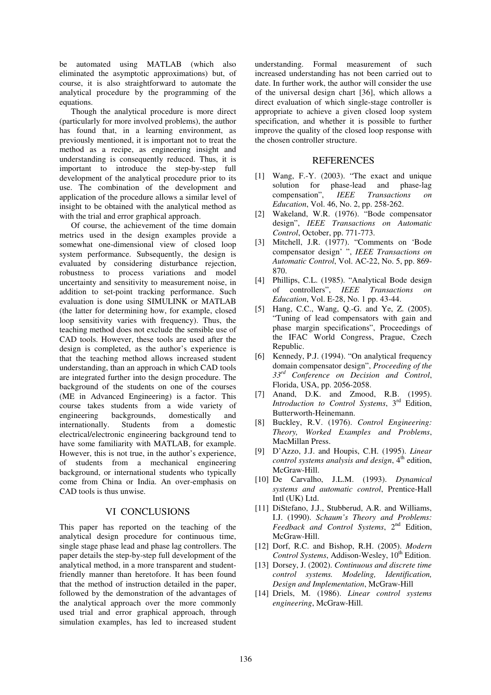be automated using MATLAB (which also eliminated the asymptotic approximations) but, of course, it is also straightforward to automate the analytical procedure by the programming of the equations.

Though the analytical procedure is more direct (particularly for more involved problems), the author has found that, in a learning environment, as previously mentioned, it is important not to treat the method as a recipe, as engineering insight and understanding is consequently reduced. Thus, it is important to introduce the step-by-step full development of the analytical procedure prior to its use. The combination of the development and application of the procedure allows a similar level of insight to be obtained with the analytical method as with the trial and error graphical approach.

Of course, the achievement of the time domain metrics used in the design examples provide a somewhat one-dimensional view of closed loop system performance. Subsequently, the design is evaluated by considering disturbance rejection, robustness to process variations and model uncertainty and sensitivity to measurement noise, in addition to set-point tracking performance. Such evaluation is done using SIMULINK or MATLAB (the latter for determining how, for example, closed loop sensitivity varies with frequency). Thus, the teaching method does not exclude the sensible use of CAD tools. However, these tools are used after the design is completed, as the author's experience is that the teaching method allows increased student understanding, than an approach in which CAD tools are integrated further into the design procedure. The background of the students on one of the courses (ME in Advanced Engineering) is a factor. This course takes students from a wide variety of engineering backgrounds, domestically and internationally. Students from a domestic electrical/electronic engineering background tend to have some familiarity with MATLAB, for example. However, this is not true, in the author's experience, of students from a mechanical engineering background, or international students who typically come from China or India. An over-emphasis on CAD tools is thus unwise.

#### VI CONCLUSIONS

This paper has reported on the teaching of the analytical design procedure for continuous time, single stage phase lead and phase lag controllers. The paper details the step-by-step full development of the analytical method, in a more transparent and studentfriendly manner than heretofore. It has been found that the method of instruction detailed in the paper, followed by the demonstration of the advantages of the analytical approach over the more commonly used trial and error graphical approach, through simulation examples, has led to increased student

understanding. Formal measurement of such increased understanding has not been carried out to date. In further work, the author will consider the use of the universal design chart [36], which allows a direct evaluation of which single-stage controller is appropriate to achieve a given closed loop system specification, and whether it is possible to further improve the quality of the closed loop response with the chosen controller structure.

#### **REFERENCES**

- [1] Wang, F.-Y. (2003). "The exact and unique solution for phase-lead and phase-lag compensation", *IEEE Transactions on Education*, Vol. 46, No. 2, pp. 258-262.
- [2] Wakeland, W.R. (1976). "Bode compensator design", *IEEE Transactions on Automatic Control*, October, pp. 771-773.
- [3] Mitchell, J.R. (1977). "Comments on 'Bode compensator design' ", *IEEE Transactions on Automatic Control*, Vol. AC-22, No. 5, pp. 869- 870.
- [4] Phillips, C.L. (1985). "Analytical Bode design of controllers", *IEEE Transactions on Education*, Vol. E-28, No. 1 pp. 43-44.
- [5] Hang, C.C., Wang, Q.-G. and Ye, Z. (2005). "Tuning of lead compensators with gain and phase margin specifications", Proceedings of the IFAC World Congress, Prague, Czech Republic.
- [6] Kennedy, P.J. (1994). "On analytical frequency domain compensator design", *Proceeding of the 33rd Conference on Decision and Control*, Florida, USA, pp. 2056-2058.
- [7] Anand, D.K. and Zmood, R.B. (1995). *Introduction to Control Systems*, 3rd Edition, Butterworth-Heinemann.
- [8] Buckley, R.V. (1976). *Control Engineering: Theory, Worked Examples and Problems*, MacMillan Press.
- [9] D'Azzo, J.J. and Houpis, C.H. (1995). *Linear control systems analysis and design*, 4<sup>th</sup> edition, McGraw-Hill.
- [10] De Carvalho, J.L.M. (1993). *Dynamical systems and automatic control*, Prentice-Hall Intl (UK) Ltd.
- [11] DiStefano, J.J., Stubberud, A.R. and Williams, I.J. (1990). *Schaum's Theory and Problems: Feedback and Control Systems*, 2nd Edition, McGraw-Hill.
- [12] Dorf, R.C. and Bishop, R.H. (2005). *Modern Control Systems*, Addison-Wesley, 10<sup>th</sup> Edition.
- [13] Dorsey, J. (2002). *Continuous and discrete time control systems. Modeling, Identification, Design and Implementation*, McGraw-Hill
- [14] Driels, M. (1986). *Linear control systems engineering*, McGraw-Hill.